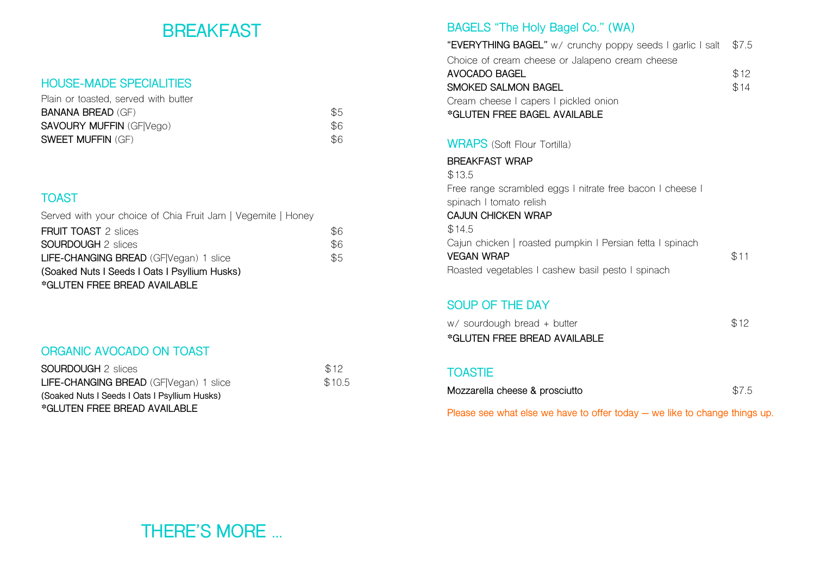# **BREAKFAST**

#### **HOUSE-MADE SPECIALITIES**

| Plain or toasted, served with butter |     |
|--------------------------------------|-----|
| <b>BANANA BREAD (GF)</b>             | \$5 |
| <b>SAVOURY MUFFIN (GFIVego)</b>      | \$6 |
| <b>SWEET MUFFIN (GF)</b>             | \$6 |

## **TOAST**

| Served with your choice of Chia Fruit Jam   Vegemite   Honey |     |
|--------------------------------------------------------------|-----|
| <b>FRUIT TOAST 2 slices</b>                                  | \$6 |
| <b>SOURDOUGH 2 slices</b>                                    | \$6 |
| LIFE-CHANGING BREAD (GF Vegan) 1 slice                       | \$5 |
| (Soaked Nuts I Seeds I Oats I Psyllium Husks)                |     |
| *GLUTEN FREE BREAD AVAILABLE                                 |     |

## **ORGANIC AVOCADO ON TOAST**

| <b>SOURDOUGH</b> 2 slices                     | \$12   |
|-----------------------------------------------|--------|
| LIFE-CHANGING BREAD (GF Vegan) 1 slice        | \$10.5 |
| (Soaked Nuts I Seeds I Oats I Psyllium Husks) |        |
| *GLUTEN FREE BREAD AVAILABLE                  |        |

## **BAGELS "The Holy Bagel Co." (WA)**

Roasted vegetables I cashew basil pesto I spinach

| "EVERYTHING BAGEL" w/ crunchy poppy seeds I garlic I salt | \$7.5 |
|-----------------------------------------------------------|-------|
| Choice of cream cheese or Jalapeno cream cheese           |       |
| AVOCADO BAGEL                                             | \$12  |
| SMOKED SALMON BAGEL                                       | \$14  |
| Cream cheese I capers I pickled onion                     |       |
| *GLUTEN FREE BAGEL AVAILABLE                              |       |
|                                                           |       |
| <b>WRAPS</b> (Soft Flour Tortilla)                        |       |
| <b>BREAKFAST WRAP</b>                                     |       |
| \$13.5                                                    |       |
| Free range scrambled eggs I nitrate free bacon I cheese I |       |
| spinach I tomato relish                                   |       |
| <b>CAJUN CHICKEN WRAP</b>                                 |       |
| \$14.5                                                    |       |
| Cajun chicken   roasted pumpkin   Persian fetta   spinach |       |
| <b>VEGAN WRAP</b>                                         | \$11  |

## **TOASTIE**

**SOUP OF THE DAY** 

**\*GLUTEN FREE BREAD AVAILABLE**

| \$7.5 |
|-------|
|       |

w/ sourdough bread + butter  $$12$ 

**Please see what else we have to offer today – we like to change things up.**